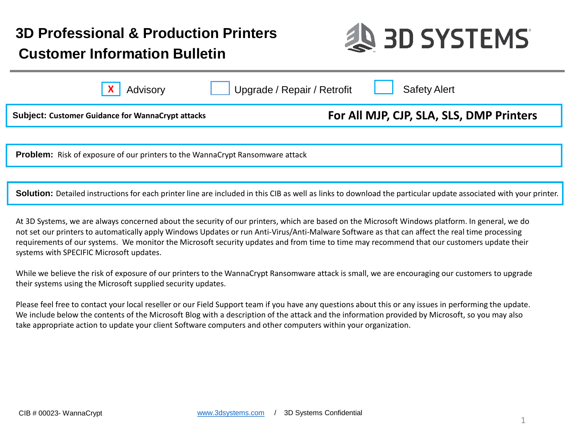# **Customer Information Bulletin 3D Professional & Production Printers**



| Advisory                                                 | Upgrade / Repair / Retrofit | <b>Safety Alert</b>                      |  |
|----------------------------------------------------------|-----------------------------|------------------------------------------|--|
| <b>Subject: Customer Guidance for WannaCrypt attacks</b> |                             | For All MJP, CJP, SLA, SLS, DMP Printers |  |
|                                                          |                             |                                          |  |

**Problem:** Risk of exposure of our printers to the WannaCrypt Ransomware attack

**Solution:** Detailed instructions for each printer line are included in this CIB as well as links to download the particular update associated with your printer.

At 3D Systems, we are always concerned about the security of our printers, which are based on the Microsoft Windows platform. In general, we do not set our printers to automatically apply Windows Updates or run Anti-Virus/Anti-Malware Software as that can affect the real time processing requirements of our systems. We monitor the Microsoft security updates and from time to time may recommend that our customers update their systems with SPECIFIC Microsoft updates.

While we believe the risk of exposure of our printers to the WannaCrypt Ransomware attack is small, we are encouraging our customers to upgrade their systems using the Microsoft supplied security updates.

Please feel free to contact your local reseller or our Field Support team if you have any questions about this or any issues in performing the update. We include below the contents of the Microsoft Blog with a description of the attack and the information provided by Microsoft, so you may also take appropriate action to update your client Software computers and other computers within your organization.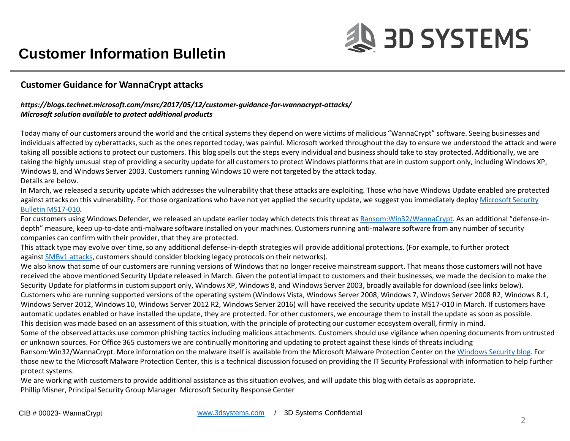### **Customer Guidance for WannaCrypt attacks**

### *https://blogs.technet.microsoft.com/msrc/2017/05/12/customer-guidance-for-wannacrypt-attacks/ Microsoft solution available to protect additional products*

Today many of our customers around the world and the critical systems they depend on were victims of malicious "WannaCrypt" software. Seeing businesses and individuals affected by cyberattacks, such as the ones reported today, was painful. Microsoft worked throughout the day to ensure we understood the attack and were taking all possible actions to protect our customers. This blog spells out the steps every individual and business should take to stay protected. Additionally, we are taking the highly unusual step of providing a security update for all customers to protect Windows platforms that are in custom support only, including Windows XP, Windows 8, and Windows Server 2003. Customers running Windows 10 were not targeted by the attack today. Details are below.

In March, we released a security update which addresses the vulnerability that these attacks are exploiting. Those who have Windows Update enabled are protected [against attacks on this vulnerability. For those organizations who have not yet applied the security update, we suggest you immediately deploy](https://technet.microsoft.com/en-us/library/security/ms17-010.aspx) Microsoft Security Bulletin MS17-010*.*

For customers using Windows Defender, we released an update earlier today which detects this threat as [Ransom:Win32/WannaCrypt](https://www.microsoft.com/security/portal/threat/encyclopedia/Entry.aspx?Name=Ransom:Win32/WannaCrypt). As an additional "defense-indepth" measure, keep up-to-date anti-malware software installed on your machines. Customers running anti-malware software from any number of security companies can confirm with their provider, that they are protected.

This attack type may evolve over time, so any additional defense-in-depth strategies will provide additional protections. (For example, to further protect against [SMBv1 attacks](https://aka.ms/disablesmb1), customers should consider blocking legacy protocols on their networks).

We also know that some of our customers are running versions of Windows that no longer receive mainstream support. That means those customers will not have received the above mentioned Security Update released in March. Given the potential impact to customers and their businesses, we made the decision to make the Security Update for platforms in custom support only, Windows XP, Windows 8, and Windows Server 2003, broadly available for download (see links below). Customers who are running supported versions of the operating system (Windows Vista, Windows Server 2008, Windows 7, Windows Server 2008 R2, Windows 8.1, Windows Server 2012, Windows 10, Windows Server 2012 R2, Windows Server 2016) will have received the security update MS17-010 in March. If customers have automatic updates enabled or have installed the update, they are protected. For other customers, we encourage them to install the update as soon as possible. This decision was made based on an assessment of this situation, with the principle of protecting our customer ecosystem overall, firmly in mind. Some of the observed attacks use common phishing tactics including malicious attachments. Customers should use vigilance when opening documents from untrusted or unknown sources. For Office 365 customers we are continually monitoring and updating to protect against these kinds of threats including Ransom:Win32/WannaCrypt. More information on the malware itself is available from the Microsoft Malware Protection Center on the [Windows Security blog](https://blogs.technet.microsoft.com/mmpc/2017/05/12/wannacrypt-ransomware-worm-targets-out-of-date-systems/). For those new to the Microsoft Malware Protection Center, this is a technical discussion focused on providing the IT Security Professional with information to help further protect systems.

We are working with customers to provide additional assistance as this situation evolves, and will update this blog with details as appropriate. Phillip Misner, Principal Security Group Manager Microsoft Security Response Center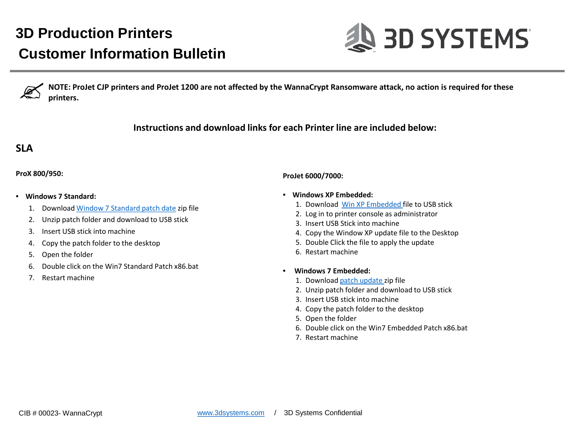

**NOTE: ProJet CJP printers and ProJet 1200 are not affected by the WannaCrypt Ransomware attack, no action is required for these printers.**

**Instructions and download links for each Printer line are included below:**

## **SLA**

#### **ProX 800/950:**

- **Windows 7 Standard:**
	- 1. Download [Window 7 Standard patch date](https://3dsystems.teamplatform.com/l/12c6d81e) zip file
	- 2. Unzip patch folder and download to USB stick
	- 3. Insert USB stick into machine
	- 4. Copy the patch folder to the desktop
	- 5. Open the folder
	- 6. Double click on the Win7 Standard Patch x86.bat
	- 7. Restart machine

### **ProJet 6000/7000:**

- **Windows XP Embedded:**
	- 1. Download [Win XP Embedded f](https://3dsystems.teamplatform.com/l/2ba5bed2)ile to USB stick
	- 2. Log in to printer console as administrator
	- 3. Insert USB Stick into machine
	- 4. Copy the Window XP update file to the Desktop
	- 5. Double Click the file to apply the update
	- 6. Restart machine
- **Windows 7 Embedded:**
	- 1. Download [patch update](https://3dsystems.teamplatform.com/l/b78c3d58) zip file
	- 2. Unzip patch folder and download to USB stick
	- 3. Insert USB stick into machine
	- 4. Copy the patch folder to the desktop
	- 5. Open the folder
	- 6. Double click on the Win7 Embedded Patch x86.bat
	- 7. Restart machine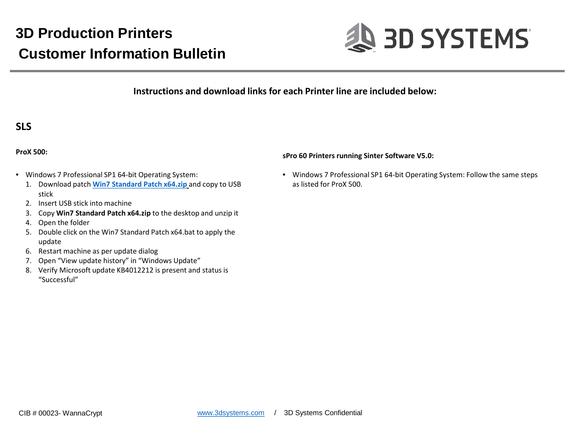

**Instructions and download links for each Printer line are included below:**

## **SLS**

#### **ProX 500:**

- Windows 7 Professional SP1 64-bit Operating System:
	- 1. Download patch **[Win7 Standard Patch x64.zip](https://3dsystems.teamplatform.com/l/82398433)** and copy to USB stick
	- 2. Insert USB stick into machine
	- 3. Copy **Win7 Standard Patch x64.zip** to the desktop and unzip it
	- 4. Open the folder
	- 5. Double click on the Win7 Standard Patch x64.bat to apply the update
	- 6. Restart machine as per update dialog
	- 7. Open "View update history" in "Windows Update"
	- 8. Verify Microsoft update KB4012212 is present and status is "Successful"

#### **sPro 60 Printers running Sinter Software V5.0:**

• Windows 7 Professional SP1 64-bit Operating System: Follow the same steps as listed for ProX 500.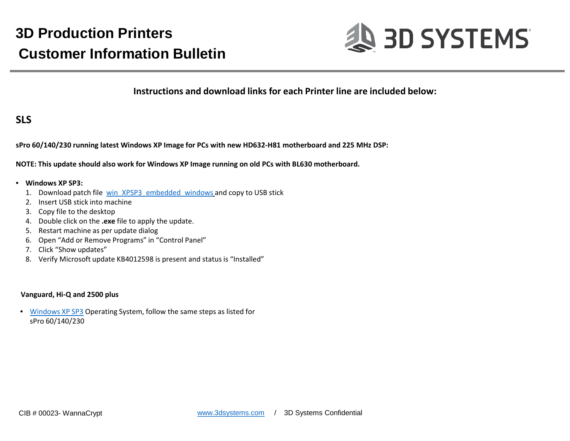

**Instructions and download links for each Printer line are included below:**

### **SLS**

**sPro 60/140/230 running latest Windows XP Image for PCs with new HD632-H81 motherboard and 225 MHz DSP:**

**NOTE: This update should also work for Windows XP Image running on old PCs with BL630 motherboard.**

#### • **Windows XP SP3:**

- 1. Download patch file [win\\_XPSP3\\_embedded\\_windows](https://3dsystems.teamplatform.com/l/2ba5bed2) and copy to USB stick
- 2. Insert USB stick into machine
- 3. Copy file to the desktop
- 4. Double click on the **.exe** file to apply the update.
- 5. Restart machine as per update dialog
- 6. Open "Add or Remove Programs" in "Control Panel"
- 7. Click "Show updates"
- 8. Verify Microsoft update KB4012598 is present and status is "Installed"

#### **Vanguard, Hi-Q and 2500 plus**

• [Windows XP SP3](https://3dsystems.teamplatform.com/l/fef980f4) Operating System, follow the same steps as listed for sPro 60/140/230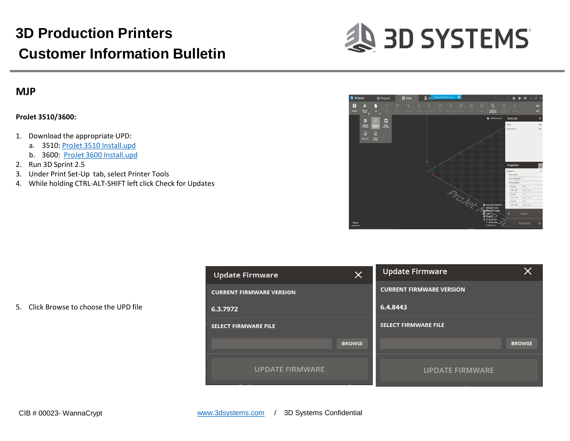

### **MJP**

#### **ProJet 3510/3600:**

- 1. Download the appropriate UPD:
	- a. 3510: [ProJet 3510 Install.upd](https://3dsystems.teamplatform.com/l/e0774dbb)
	- b. 3600: [ProJet 3600 Install.upd](https://3dsystems.teamplatform.com/l/fa1d81c6)
- 2. Run 3D Sprint 2.5
- 3. Under Print Set-Up tab, select Printer Tools
- 4. While holding CTRL-ALT-SHIFT left click Check for Updates



5. Click Browse to choose the UPD file

| <b>Update Firmware</b>          | ×             | <b>Update Firmware</b>          |               |
|---------------------------------|---------------|---------------------------------|---------------|
| <b>CURRENT FIRMWARE VERSION</b> |               | <b>CURRENT FIRMWARE VERSION</b> |               |
| 6.3.7972                        |               | 6.4.8443                        |               |
| <b>SELECT FIRMWARE FILE</b>     |               | <b>SELECT FIRMWARE FILE</b>     |               |
|                                 | <b>BROWSE</b> |                                 | <b>BROWSE</b> |
| <b>UPDATE FIRMWARE</b>          |               | <b>UPDATE FIRMWARE</b>          |               |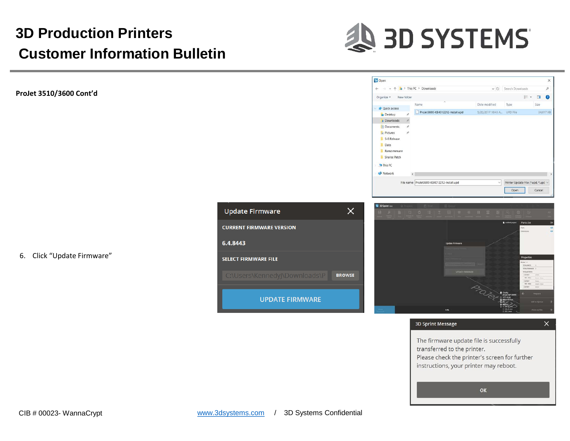

ProJet3600-KB4012212-Install.upd

File name: ProJet3600-KB4012212-Install.upd

S Open

Organize \*

**x** Quick access

Desktop Downloads **Documents Pictures** 5-8 Release Data Ransomeware Sharee Patch This PC Network

 $\rightarrow \sim \uparrow \quad \frac{1}{2}$  > This PC > Downloads

Name

New folder

**ProJet 3510/3600 Cont'd**

6. Click "Update Firmware"

**Update Firmware**  $\times$ **CURRENT FIRMWARE VERSION** 6.4.8443 **SELECT FIRMWARE FILE** C:\Users\KennedyJ\Downloads\P **BROWSE UPDATE FIRMWARE** 



 $\vee$  (1) Search Downloads

Type

Date modified

5/20/2017 10:43 A., UPD File

 $E \cdot 10$ 

Size

Printer Update File (\*.upd, \*.upd Open

Cancel

34,017 KE

**3D Sprint Message** 

 $\times$ 

The firmware update file is successfully transferred to the printer. Please check the printer's screen for further instructions, your printer may reboot.

OK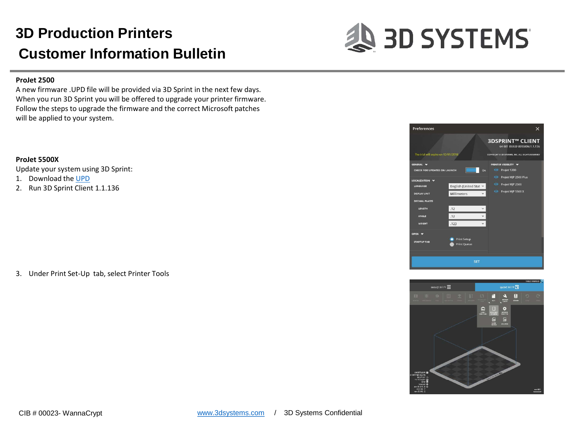

#### **ProJet 2500**

A new firmware .UPD file will be provided via 3D Sprint in the next few days. When you run 3D Sprint you will be offered to upgrade your printer firmware. Follow the steps to upgrade the firmware and the correct Microsoft patches will be applied to your system.

#### **ProJet 5500X**

Update your system using 3D Sprint:

- 1. Download the [UPD](https://3dsystems.teamplatform.com/l/31d140d9)
- 2. Run 3D Sprint Client 1.1.136

3. Under Print Set-Up tab, select Printer Tools